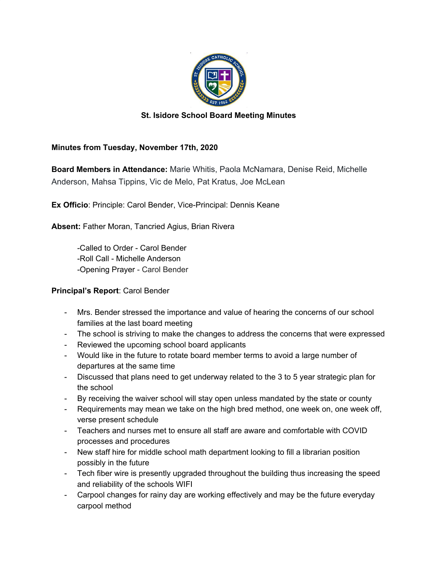

## **St. Isidore School Board Meeting Minutes**

## **Minutes from Tuesday, November 17th, 2020**

**Board Members in Attendance:** Marie Whitis, Paola McNamara, Denise Reid, Michelle Anderson, Mahsa Tippins, Vic de Melo, Pat Kratus, Joe McLean

**Ex Officio**: Principle: Carol Bender, Vice-Principal: Dennis Keane

**Absent:** Father Moran, Tancried Agius, Brian Rivera

-Called to Order - Carol Bender -Roll Call - Michelle Anderson -Opening Prayer - Carol Bender

## **Principal's Report**: Carol Bender

- Mrs. Bender stressed the importance and value of hearing the concerns of our school families at the last board meeting
- The school is striving to make the changes to address the concerns that were expressed
- Reviewed the upcoming school board applicants
- Would like in the future to rotate board member terms to avoid a large number of departures at the same time
- Discussed that plans need to get underway related to the 3 to 5 year strategic plan for the school
- By receiving the waiver school will stay open unless mandated by the state or county
- Requirements may mean we take on the high bred method, one week on, one week off, verse present schedule
- Teachers and nurses met to ensure all staff are aware and comfortable with COVID processes and procedures
- New staff hire for middle school math department looking to fill a librarian position possibly in the future
- Tech fiber wire is presently upgraded throughout the building thus increasing the speed and reliability of the schools WIFI
- Carpool changes for rainy day are working effectively and may be the future everyday carpool method